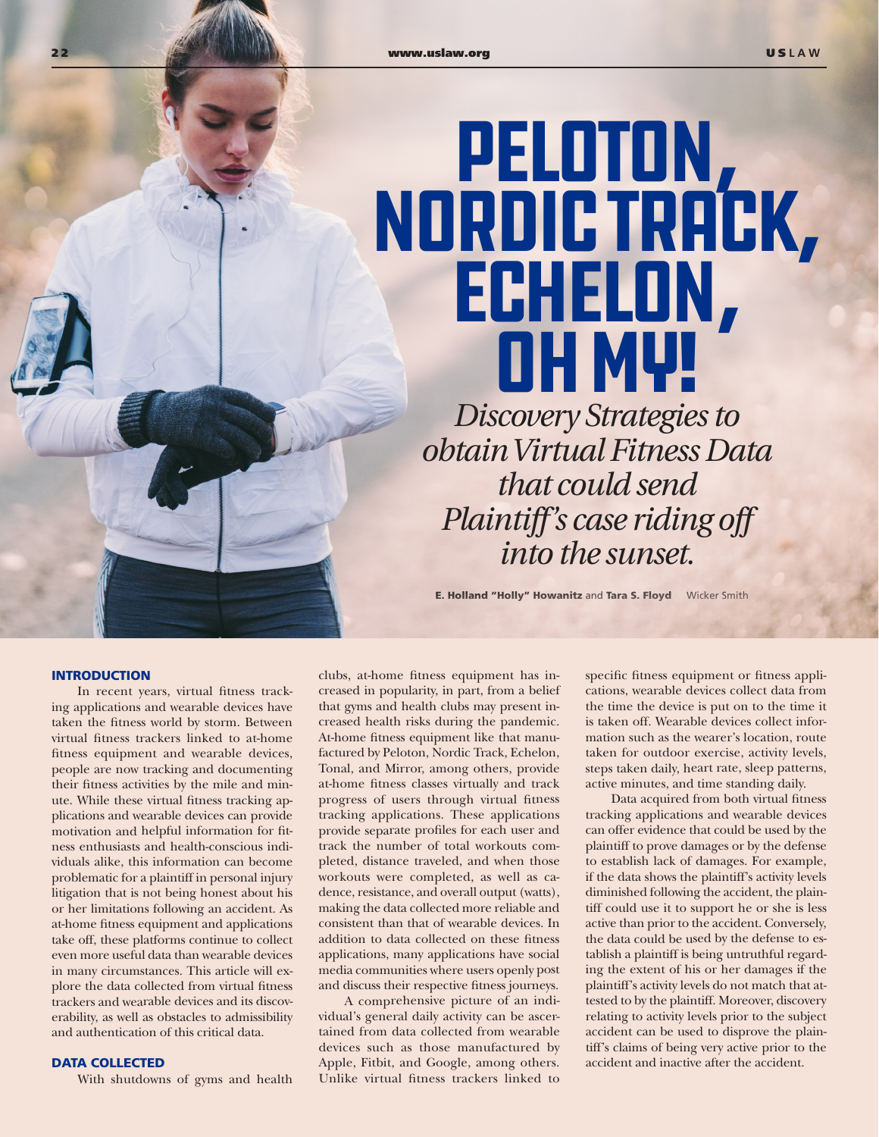# PELOTON,<br>NORDIC TRACK,<br>ECHELON, Oh My!

*Discovery Strategies to obtain Virtual Fitness Data that could send Plaintiff's case riding off into the sunset.*

E. Holland "Holly" Howanitz and Tara S. Floyd Wicker Smith

## INTRODUCTION

In recent years, virtual fitness tracking applications and wearable devices have taken the fitness world by storm. Between virtual fitness trackers linked to at-home fitness equipment and wearable devices, people are now tracking and documenting their fitness activities by the mile and minute. While these virtual fitness tracking applications and wearable devices can provide motivation and helpful information for fitness enthusiasts and health-conscious individuals alike, this information can become problematic for a plaintiff in personal injury litigation that is not being honest about his or her limitations following an accident. As at-home fitness equipment and applications take off, these platforms continue to collect even more useful data than wearable devices in many circumstances. This article will explore the data collected from virtual fitness trackers and wearable devices and its discoverability, as well as obstacles to admissibility and authentication of this critical data.

# DATA COLLECTED

With shutdowns of gyms and health

clubs, at-home fitness equipment has increased in popularity, in part, from a belief that gyms and health clubs may present increased health risks during the pandemic. At-home fitness equipment like that manufactured by Peloton, Nordic Track, Echelon, Tonal, and Mirror, among others, provide at-home fitness classes virtually and track progress of users through virtual fitness tracking applications. These applications provide separate profiles for each user and track the number of total workouts completed, distance traveled, and when those workouts were completed, as well as cadence, resistance, and overall output (watts), making the data collected more reliable and consistent than that of wearable devices. In addition to data collected on these fitness applications, many applications have social media communities where users openly post and discuss their respective fitness journeys.

A comprehensive picture of an individual's general daily activity can be ascertained from data collected from wearable devices such as those manufactured by Apple, Fitbit, and Google, among others. Unlike virtual fitness trackers linked to

specific fitness equipment or fitness applications, wearable devices collect data from the time the device is put on to the time it is taken off. Wearable devices collect information such as the wearer's location, route taken for outdoor exercise, activity levels, steps taken daily, heart rate, sleep patterns, active minutes, and time standing daily.

Data acquired from both virtual fitness tracking applications and wearable devices can offer evidence that could be used by the plaintiff to prove damages or by the defense to establish lack of damages. For example, if the data shows the plaintiff's activity levels diminished following the accident, the plaintiff could use it to support he or she is less active than prior to the accident. Conversely, the data could be used by the defense to establish a plaintiff is being untruthful regarding the extent of his or her damages if the plaintiff's activity levels do not match that attested to by the plaintiff. Moreover, discovery relating to activity levels prior to the subject accident can be used to disprove the plaintiff's claims of being very active prior to the accident and inactive after the accident.